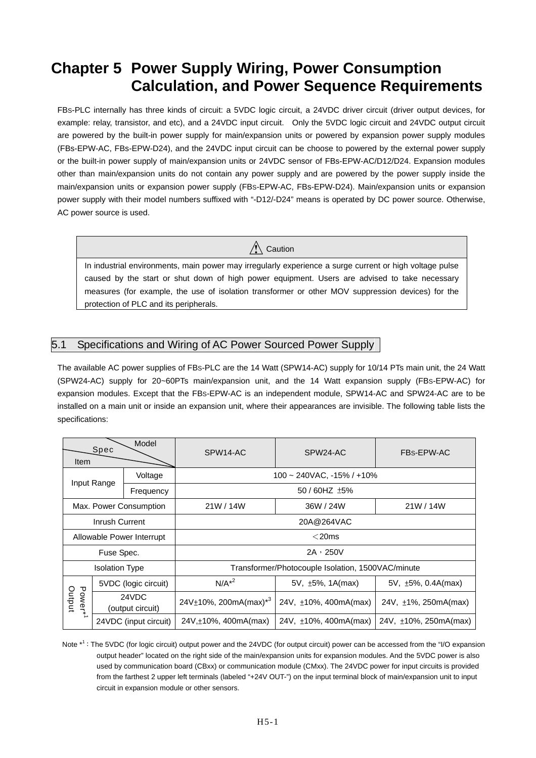# **Chapter 5 Power Supply Wiring, Power Consumption Calculation, and Power Sequence Requirements**

FBS-PLC internally has three kinds of circuit: a 5VDC logic circuit, a 24VDC driver circuit (driver output devices, for example: relay, transistor, and etc), and a 24VDC input circuit. Only the 5VDC logic circuit and 24VDC output circuit are powered by the built-in power supply for main/expansion units or powered by expansion power supply modules (FBs-EPW-AC, FBs-EPW-D24), and the 24VDC input circuit can be choose to powered by the external power supply or the built-in power supply of main/expansion units or 24VDC sensor of FBs-EPW-AC/D12/D24. Expansion modules other than main/expansion units do not contain any power supply and are powered by the power supply inside the main/expansion units or expansion power supply (FBS-EPW-AC, FBs-EPW-D24). Main/expansion units or expansion power supply with their model numbers suffixed with "-D12/-D24" means is operated by DC power source. Otherwise, AC power source is used.

 $\sqrt{N}$  Caution

In industrial environments, main power may irregularly experience a surge current or high voltage pulse caused by the start or shut down of high power equipment. Users are advised to take necessary measures (for example, the use of isolation transformer or other MOV suppression devices) for the protection of PLC and its peripherals.

#### 5.1 Specifications and Wiring of AC Power Sourced Power Supply

The available AC power supplies of FBS-PLC are the 14 Watt (SPW14-AC) supply for 10/14 PTs main unit, the 24 Watt (SPW24-AC) supply for 20~60PTs main/expansion unit, and the 14 Watt expansion supply (FBS-EPW-AC) for expansion modules. Except that the FBS-EPW-AC is an independent module, SPW14-AC and SPW24-AC are to be installed on a main unit or inside an expansion unit, where their appearances are invisible. The following table lists the specifications:

| Model<br>Spec<br><b>Item</b>  |                           |                           | SPW14-AC                                          | FBs-EPW-AC                 |                            |  |  |  |  |
|-------------------------------|---------------------------|---------------------------|---------------------------------------------------|----------------------------|----------------------------|--|--|--|--|
|                               |                           | Voltage                   | $100 \sim 240$ VAC, $-15\%$ / $+10\%$             |                            |                            |  |  |  |  |
|                               | Input Range               | Frequency                 | 50 / 60HZ ±5%                                     |                            |                            |  |  |  |  |
| Max. Power Consumption        |                           |                           | 21W / 14W                                         | 36W / 24W                  | 21W / 14W                  |  |  |  |  |
| Inrush Current                |                           |                           | 20A@264VAC                                        |                            |                            |  |  |  |  |
|                               |                           | Allowable Power Interrupt | $<$ 20ms                                          |                            |                            |  |  |  |  |
|                               | Fuse Spec.                |                           | $2A \cdot 250V$                                   |                            |                            |  |  |  |  |
|                               | <b>Isolation Type</b>     |                           | Transformer/Photocouple Isolation, 1500VAC/minute |                            |                            |  |  |  |  |
|                               |                           | 5VDC (logic circuit)      | $N/A^{*2}$                                        | 5V, ±5%, 1A(max)           | 5V, $\pm$ 5%, 0.4A(max)    |  |  |  |  |
| Power* <sup>1</sup><br>Output | 24VDC<br>(output circuit) |                           | $24V\pm10\%$ , 200mA(max) <sup>*3</sup>           | 24V, $\pm$ 10%, 400mA(max) | 24V, $\pm$ 1%, 250mA(max)  |  |  |  |  |
|                               |                           | 24VDC (input circuit)     | $24V, \pm 10\%$ , 400mA(max)                      | 24V, $\pm$ 10%, 400mA(max) | 24V, $\pm$ 10%, 250mA(max) |  |  |  |  |

Note  $*^1$ : The 5VDC (for logic circuit) output power and the 24VDC (for output circuit) power can be accessed from the "I/O expansion output header" located on the right side of the main/expansion units for expansion modules. And the 5VDC power is also used by communication board (CBxx) or communication module (CMxx). The 24VDC power for input circuits is provided from the farthest 2 upper left terminals (labeled "+24V OUT-") on the input terminal block of main/expansion unit to input circuit in expansion module or other sensors.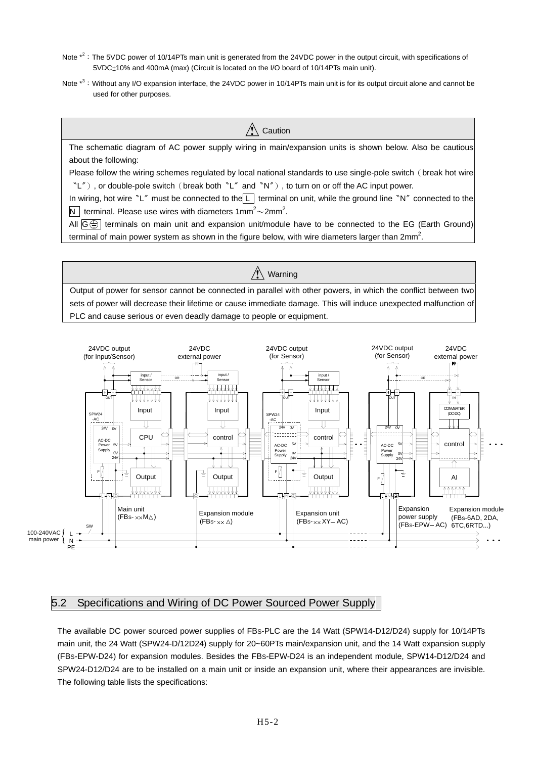- Note  $*^2$ : The 5VDC power of 10/14PTs main unit is generated from the 24VDC power in the output circuit, with specifications of 5VDC±10% and 400mA (max) (Circuit is located on the I/O board of 10/14PTs main unit).
- Note  $*^3$ : Without any I/O expansion interface, the 24VDC power in 10/14PTs main unit is for its output circuit alone and cannot be used for other purposes.



 $\bigwedge$  Warning Output of power for sensor cannot be connected in parallel with other powers, in which the conflict between two sets of power will decrease their lifetime or cause immediate damage. This will induce unexpected malfunction of PLC and cause serious or even deadly damage to people or equipment.



5.2 Specifications and Wiring of DC Power Sourced Power Supply

The available DC power sourced power supplies of FBS-PLC are the 14 Watt (SPW14-D12/D24) supply for 10/14PTs main unit, the 24 Watt (SPW24-D/12D24) supply for 20~60PTs main/expansion unit, and the 14 Watt expansion supply (FBS-EPW-D24) for expansion modules. Besides the FBS-EPW-D24 is an independent module, SPW14-D12/D24 and SPW24-D12/D24 are to be installed on a main unit or inside an expansion unit, where their appearances are invisible. The following table lists the specifications: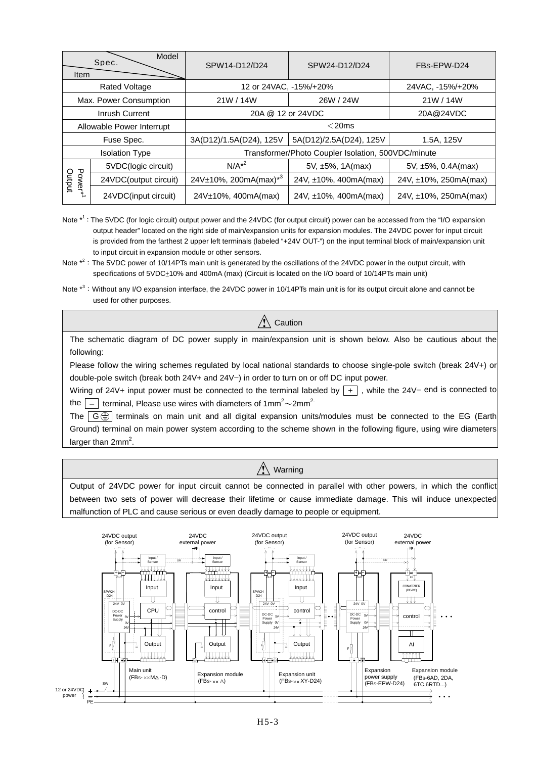| Model<br>Spec.<br>Item        |                           | SPW14-D12/D24<br>SPW24-D12/D24                     |                       | FBs-EPW-D24              |  |  |  |
|-------------------------------|---------------------------|----------------------------------------------------|-----------------------|--------------------------|--|--|--|
|                               | <b>Rated Voltage</b>      | 12 or 24VAC, -15%/+20%                             |                       | 24VAC, -15%/+20%         |  |  |  |
|                               | Max. Power Consumption    | 21W / 14W                                          | 26W / 24W             | 21W / 14W                |  |  |  |
|                               | Inrush Current            | 20A @ 12 or 24VDC                                  | 20A@24VDC             |                          |  |  |  |
|                               | Allowable Power Interrupt | $<$ 20ms                                           |                       |                          |  |  |  |
|                               | Fuse Spec.                | 3A(D12)/1.5A(D24), 125V<br>5A(D12)/2.5A(D24), 125V |                       | 1.5A, 125V               |  |  |  |
|                               | <b>Isolation Type</b>     | Transformer/Photo Coupler Isolation, 500VDC/minute |                       |                          |  |  |  |
|                               | 5VDC(logic circuit)       | $N/A^{2}$                                          | 5V, $\pm$ 5%, 1A(max) | $5V, \pm 5\%, 0.4A(max)$ |  |  |  |
| Power* <sup>1</sup><br>Output | 24VDC(output circuit)     | $24V±10\%$ , 200mA(max) <sup>*3</sup>              | 24V, ±10%, 400mA(max) | 24V, ±10%, 250mA(max)    |  |  |  |
|                               | 24VDC(input circuit)      | 24V±10%, 400mA(max)                                | 24V, ±10%, 400mA(max) | 24V, ±10%, 250mA(max)    |  |  |  |

Note  $*^1$ : The 5VDC (for logic circuit) output power and the 24VDC (for output circuit) power can be accessed from the "I/O expansion output header" located on the right side of main/expansion units for expansion modules. The 24VDC power for input circuit is provided from the farthest 2 upper left terminals (labeled "+24V OUT-") on the input terminal block of main/expansion unit to input circuit in expansion module or other sensors.

 $\sqrt{N}$  Caution The schematic diagram of DC power supply in main/expansion unit is shown below. Also be cautious about the following: Please follow the wiring schemes regulated by local national standards to choose single-pole switch (break 24V+) or double-pole switch (break both 24V+ and 24V−) in order to turn on or off DC input power.

Wiring of 24V+ input power must be connected to the terminal labeled by +, while the 24V− end is connected to the  $\boxed{-}$  terminal, Please use wires with diameters of 1mm<sup>2</sup>~2mm<sup>2.</sup>

The  $\boxed{G \bigoplus}$  terminals on main unit and all digital expansion units/modules must be connected to the EG (Earth Ground) terminal on main power system according to the scheme shown in the following figure, using wire diameters larger than  $2mm^2$ .

### $\sqrt{\ }$  Warning

Output of 24VDC power for input circuit cannot be connected in parallel with other powers, in which the conflict between two sets of power will decrease their lifetime or cause immediate damage. This will induce unexpected malfunction of PLC and cause serious or even deadly damage to people or equipment.



Note  $*^2$ : The 5VDC power of 10/14PTs main unit is generated by the oscillations of the 24VDC power in the output circuit, with specifications of 5VDC+10% and 400mA (max) (Circuit is located on the I/O board of 10/14PTs main unit)

Note  $*^3$ : Without any I/O expansion interface, the 24VDC power in 10/14PTs main unit is for its output circuit alone and cannot be used for other purposes.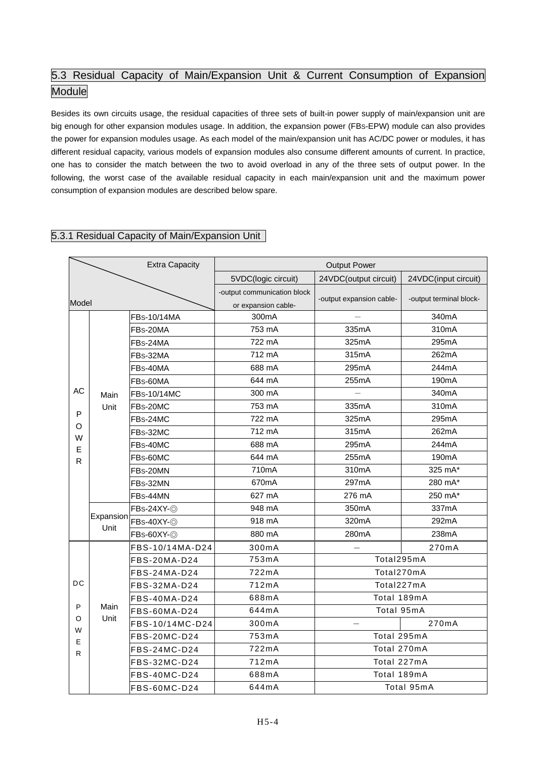## 5.3 Residual Capacity of Main/Expansion Unit & Current Consumption of Expansion **Module**

Besides its own circuits usage, the residual capacities of three sets of built-in power supply of main/expansion unit are big enough for other expansion modules usage. In addition, the expansion power (FBS-EPW) module can also provides the power for expansion modules usage. As each model of the main/expansion unit has AC/DC power or modules, it has different residual capacity, various models of expansion modules also consume different amounts of current. In practice, one has to consider the match between the two to avoid overload in any of the three sets of output power. In the following, the worst case of the available residual capacity in each main/expansion unit and the maximum power consumption of expansion modules are described below spare.

#### 5.3.1 Residual Capacity of Main/Expansion Unit

|             |           | <b>Extra Capacity</b> |                                                    | <b>Output Power</b>      |                         |
|-------------|-----------|-----------------------|----------------------------------------------------|--------------------------|-------------------------|
|             |           |                       | 5VDC(logic circuit)                                | 24VDC(output circuit)    | 24VDC(input circuit)    |
| Model       |           |                       | -output communication block<br>or expansion cable- | -output expansion cable- | -output terminal block- |
|             |           | FBs-10/14MA           | 300mA                                              |                          | 340mA                   |
|             |           | FBs-20MA              | 753 mA                                             | 335mA                    | 310mA                   |
|             |           | FBs-24MA              | 722 mA                                             | 325mA                    | 295mA                   |
|             |           | FBs-32MA              | 712 mA                                             | 315mA                    | 262mA                   |
|             |           | FBs-40MA              | 688 mA                                             | 295mA                    | 244mA                   |
|             |           | FBs-60MA              | 644 mA                                             | 255mA                    | 190 <sub>m</sub> A      |
| AC          | Main      | FBs-10/14MC           | 300 mA                                             |                          | 340mA                   |
| P<br>O<br>W | Unit      | FBs-20MC              | 753 mA                                             | 335mA                    | 310mA                   |
|             |           | FBs-24MC              | 722 mA                                             | 325mA                    | 295mA                   |
|             |           | FBs-32MC              | 712 mA                                             | 315mA                    | 262mA                   |
| E           |           | FBs-40MC              | 688 mA                                             | 295mA                    | 244mA                   |
| R           |           | FBs-60MC              | 644 mA                                             | 255mA                    | 190 <sub>m</sub> A      |
|             |           | FBs-20MN              | 710mA                                              | 310mA                    | 325 mA*                 |
|             |           | FBs-32MN              | 670mA                                              | 297mA                    | 280 mA*                 |
|             |           | FBs-44MN              | 627 mA                                             | 276 mA                   | 250 mA*                 |
|             |           | FBs-24XY-@            | 948 mA                                             | 350mA                    | 337mA                   |
|             | Expansion | FBs-40XY-@            | 918 mA                                             | 320mA                    | 292mA                   |
|             | Unit      | FBs-60XY-@            | 880 mA                                             | 280mA                    | 238mA                   |
|             |           | FBS-10/14MA-D24       | 300mA                                              |                          | 270mA                   |
|             |           | FBS-20MA-D24          | 753mA                                              | Total295mA               |                         |
|             |           | FBS-24MA-D24          | 722mA                                              | Total270mA               |                         |
| DC          |           | FBS-32MA-D24          | 712mA                                              | Total227mA               |                         |
|             |           | FBS-40MA-D24          | 688mA                                              | Total 189mA              |                         |
| P           | Main      | FBS-60MA-D24          | 644mA                                              | Total 95mA               |                         |
| O           | Unit      | FBS-10/14MC-D24       | 300mA                                              |                          | 270mA                   |
| W<br>Е      |           | FBS-20MC-D24          | 753mA                                              | Total 295mA              |                         |
| R.          |           | FBS-24MC-D24          | 722mA                                              | Total 270mA              |                         |
|             |           | FBS-32MC-D24          | 712mA                                              | Total 227mA              |                         |
|             |           | FBS-40MC-D24          | 688mA                                              | Total 189mA              |                         |
|             |           | FBS-60MC-D24          | 644mA                                              |                          | Total 95mA              |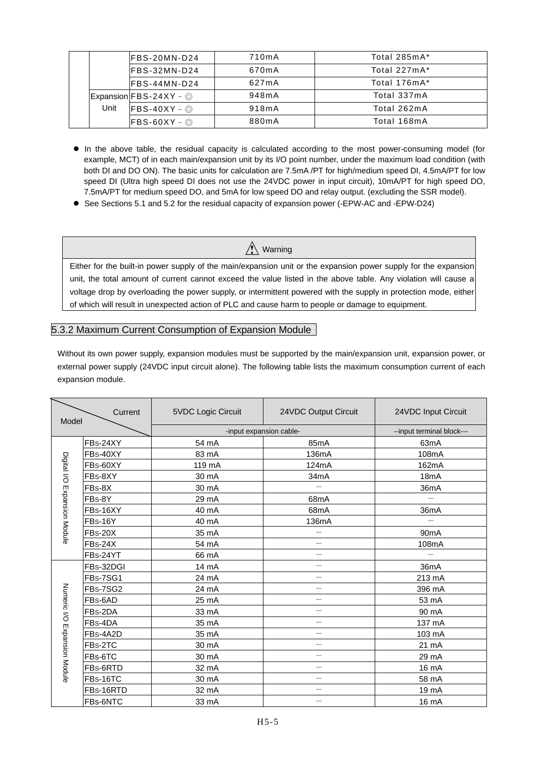|      | IFBS-20MN-D24                                          | 710mA | Total 285mA* |
|------|--------------------------------------------------------|-------|--------------|
|      | IFBS-32MN-D24                                          | 670mA | Total 227mA* |
|      | IFBS-44MN-D24                                          | 627mA | Total 176mA* |
|      | $\mathsf{Expansion} \mathsf{FBS-24XY}-\mathsf{\odot} $ | 948mA | Total 337mA  |
| Unit | $\textsf{FBS-40XY}-\circledcirc$                       | 918mA | Total 262mA  |
|      | $\textsf{FBS-60XY}-\circledcirc$                       | 880mA | Total 168mA  |

- In the above table, the residual capacity is calculated according to the most power-consuming model (for example, MCT) of in each main/expansion unit by its I/O point number, under the maximum load condition (with both DI and DO ON). The basic units for calculation are 7.5mA /PT for high/medium speed DI, 4.5mA/PT for low speed DI (Ultra high speed DI does not use the 24VDC power in input circuit), 10mA/PT for high speed DO, 7.5mA/PT for medium speed DO, and 5mA for low speed DO and relay output. (excluding the SSR model).
- See Sections 5.1 and 5.2 for the residual capacity of expansion power (-EPW-AC and -EPW-D24)

### $\hat{\wedge}$  Warning

Either for the built-in power supply of the main/expansion unit or the expansion power supply for the expansion unit, the total amount of current cannot exceed the value listed in the above table. Any violation will cause a voltage drop by overloading the power supply, or intermittent powered with the supply in protection mode, either of which will result in unexpected action of PLC and cause harm to people or damage to equipment.

#### 5.3.2 Maximum Current Consumption of Expansion Module

Without its own power supply, expansion modules must be supported by the main/expansion unit, expansion power, or external power supply (24VDC input circuit alone). The following table lists the maximum consumption current of each expansion module.

| Model                        | Current        | 5VDC Logic Circuit      | 24VDC Output Circuit      | 24VDC Input Circuit |  |  |
|------------------------------|----------------|-------------------------|---------------------------|---------------------|--|--|
|                              |                | -input expansion cable- | --input terminal block--- |                     |  |  |
|                              | FBs-24XY       | 54 mA                   | 85mA                      | 63mA                |  |  |
|                              | FBs-40XY       | 83 mA                   | 136mA                     | 108mA               |  |  |
| Digital I/O Expansion Module | FBs-60XY       | 119 mA                  | 124mA                     | 162mA               |  |  |
|                              | FBs-8XY        | 30 mA                   | 34mA                      | 18 <sub>m</sub> A   |  |  |
|                              | FBs-8X         | 30 mA                   | $\overline{\phantom{m}}$  | 36mA                |  |  |
|                              | FBs-8Y         | 29 mA                   | 68mA                      |                     |  |  |
|                              | FBs-16XY       | 40 mA                   | 68 <sub>m</sub> A         | 36mA                |  |  |
|                              | FBs-16Y        | 40 mA                   | 136mA                     |                     |  |  |
|                              | <b>FBs-20X</b> | 35 mA                   | $\equiv$                  | 90 <sub>m</sub> A   |  |  |
|                              | $FBs-24X$      | 54 mA                   |                           | 108mA               |  |  |
|                              | FBs-24YT       | 66 mA                   | $\overline{\phantom{0}}$  |                     |  |  |
|                              | FBs-32DGI      | 14 mA                   | $\overline{\phantom{0}}$  | 36mA                |  |  |
|                              | FBs-7SG1       | 24 mA                   | $\overline{\phantom{0}}$  | 213 mA              |  |  |
|                              | FBs-7SG2       | 24 mA                   | $\equiv$                  | 396 mA              |  |  |
|                              | FBs-6AD        | 25 mA                   |                           | 53 mA               |  |  |
|                              | FBs-2DA        | 33 mA                   | $\overline{\phantom{0}}$  | 90 mA               |  |  |
|                              | FBs-4DA        | 35 mA                   | $\overline{\phantom{0}}$  | 137 mA              |  |  |
| Numeric I/O Expansion Module | FBs-4A2D       | 35 mA                   | $\overline{\phantom{0}}$  | 103 mA              |  |  |
|                              | FBs-2TC        | 30 mA                   | $\overline{\phantom{0}}$  | 21 mA               |  |  |
|                              | FBs-6TC        | 30 mA                   | $\overline{\phantom{0}}$  | 29 mA               |  |  |
|                              | FBs-6RTD       | 32 mA                   | $\overline{\phantom{0}}$  | 16 mA               |  |  |
|                              | FBs-16TC       | 30 mA                   | $\overline{\phantom{0}}$  | 58 mA               |  |  |
|                              | FBs-16RTD      | 32 mA                   | $\overline{\phantom{0}}$  | 19 mA               |  |  |
|                              | FBs-6NTC       | 33 mA                   |                           | 16 mA               |  |  |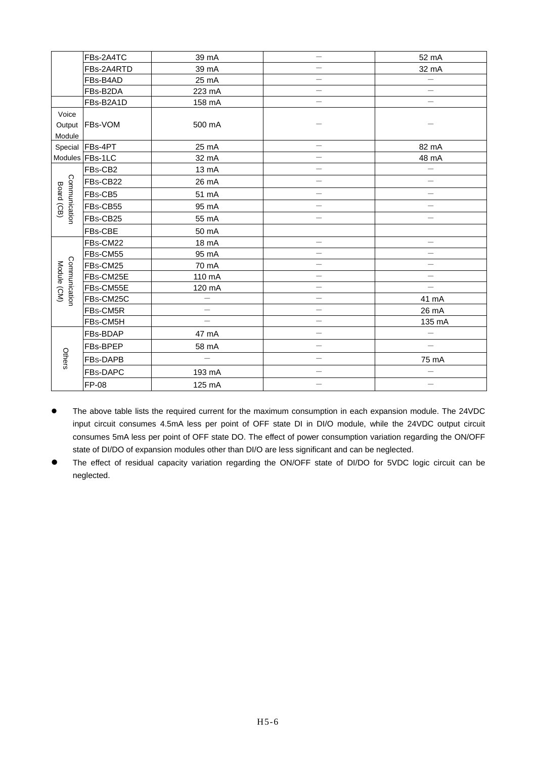|                             | FBs-2A4TC       | 39 mA                    | $\overline{\phantom{0}}$ | 52 mA                    |
|-----------------------------|-----------------|--------------------------|--------------------------|--------------------------|
|                             | FBs-2A4RTD      | 39 mA                    | $\overline{\phantom{0}}$ | 32 mA                    |
|                             | FBs-B4AD        | 25 mA                    | $\overline{\phantom{0}}$ |                          |
|                             | FBs-B2DA        | 223 mA                   | $\overline{\phantom{0}}$ | $\overline{\phantom{0}}$ |
|                             | FBs-B2A1D       | 158 mA                   | $\overline{\phantom{0}}$ | $\overline{\phantom{0}}$ |
| Voice                       |                 |                          |                          |                          |
| Output                      | FBs-VOM         | 500 mA                   |                          |                          |
| Module                      |                 |                          |                          |                          |
| Special                     | FBs-4PT         | 25 mA                    |                          | 82 mA                    |
|                             | Modules FBs-1LC | 32 mA                    | $\overline{\phantom{0}}$ | 48 mA                    |
|                             | FBs-CB2         | 13 mA                    | $\overline{\phantom{0}}$ | $\overline{\phantom{0}}$ |
|                             | FBs-CB22        | 26 mA                    | $\qquad \qquad -$        | $\overline{\phantom{0}}$ |
| Communication<br>Board (CB) | FBs-CB5         | 51 mA                    | $\overline{\phantom{0}}$ | $\overline{\phantom{0}}$ |
|                             | FBs-CB55        | 95 mA                    | $\overline{\phantom{0}}$ | $\equiv$                 |
|                             | FBs-CB25        | 55 mA                    | $\overline{\phantom{0}}$ | $\overline{\phantom{0}}$ |
|                             | FBs-CBE         | 50 mA                    |                          |                          |
|                             | FBs-CM22        | 18 mA                    | $\overline{\phantom{0}}$ | $\overline{\phantom{0}}$ |
|                             | FBs-CM55        | 95 mA                    | $\overline{\phantom{0}}$ | $\overline{\phantom{0}}$ |
|                             | FBs-CM25        | 70 mA                    | $\overline{\phantom{0}}$ | $\overline{\phantom{0}}$ |
|                             | FBs-CM25E       | 110 mA                   | $\overline{\phantom{0}}$ | $\overline{\phantom{0}}$ |
| Module (CM)                 | FBs-CM55E       | 120 mA                   | $\overline{\phantom{0}}$ | $\overline{\phantom{0}}$ |
| Communication               | FBs-CM25C       | $\overline{\phantom{0}}$ | $\overline{\phantom{0}}$ | 41 mA                    |
|                             | FBs-CM5R        |                          | $\overline{\phantom{0}}$ | 26 mA                    |
|                             | FBs-CM5H        |                          | $\overline{\phantom{0}}$ | 135 mA                   |
|                             | FBs-BDAP        | 47 mA                    | $\overline{\phantom{0}}$ |                          |
|                             | FBs-BPEP        | 58 mA                    | $\overline{\phantom{0}}$ | $\equiv$                 |
| Others                      | FBs-DAPB        |                          | $\overline{\phantom{0}}$ | 75 mA                    |
|                             | FBs-DAPC        | 193 mA                   | $\overline{\phantom{0}}$ | $\overline{\phantom{0}}$ |
|                             | <b>FP-08</b>    | 125 mA                   | $\overline{\phantom{0}}$ | $\overline{\phantom{0}}$ |

- The above table lists the required current for the maximum consumption in each expansion module. The 24VDC input circuit consumes 4.5mA less per point of OFF state DI in DI/O module, while the 24VDC output circuit consumes 5mA less per point of OFF state DO. The effect of power consumption variation regarding the ON/OFF state of DI/DO of expansion modules other than DI/O are less significant and can be neglected.
- The effect of residual capacity variation regarding the ON/OFF state of DI/DO for 5VDC logic circuit can be neglected.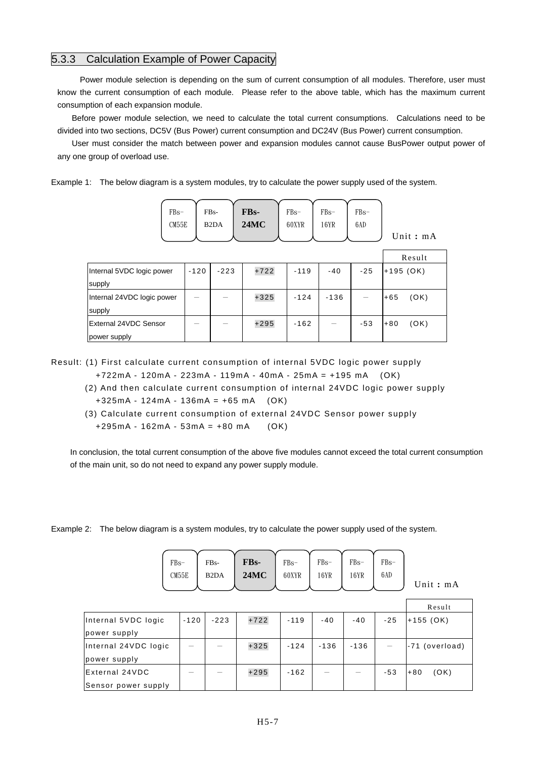#### 5.3.3 Calculation Example of Power Capacity

 Power module selection is depending on the sum of current consumption of all modules. Therefore, user must know the current consumption of each module. Please refer to the above table, which has the maximum current consumption of each expansion module.

Before power module selection, we need to calculate the total current consumptions. Calculations need to be divided into two sections, DC5V (Bus Power) current consumption and DC24V (Bus Power) current consumption.

User must consider the match between power and expansion modules cannot cause BusPower output power of any one group of overload use.

Example 1: The below diagram is a system modules, try to calculate the power supply used of the system.

| $FBs-$ | $FBs-$ | FBs-        | $FBs-$ | $FBs-$ | $FBs-$ |            |
|--------|--------|-------------|--------|--------|--------|------------|
| CM55E  | B2DA   | <b>24MC</b> | 60XYR  | 16YR   | 6AD    |            |
|        |        |             |        |        |        | Unit: $m/$ |

| Unit: $mA$ |  |  |
|------------|--|--|
|            |  |  |

|                            |        |        |        |        |        |       | Result        |
|----------------------------|--------|--------|--------|--------|--------|-------|---------------|
| Internal 5VDC logic power  | $-120$ | $-223$ | $+722$ | $-119$ | $-40$  | $-25$ | $+195$ (OK)   |
| supply                     |        |        |        |        |        |       |               |
| Internal 24VDC logic power |        |        | $+325$ | $-124$ | $-136$ |       | (OK)<br>$+65$ |
| supply                     |        |        |        |        |        |       |               |
| External 24VDC Sensor      |        |        | $+295$ | $-162$ |        | $-53$ | (OK)<br>$+80$ |
| power supply               |        |        |        |        |        |       |               |

Result: (1) First calculate current consumption of internal 5VDC logic power supply

- +722mA 120mA 223mA 119mA 40mA 25mA = +195 mA (OK)
- (2) And then calculate current consumption of internal 24VDC logic power supply  $+325mA - 124mA - 136mA = +65 mA$  (OK)
- (3) Calculate current consumption of external 24VDC Sensor power supply  $+295mA - 162mA - 53mA = +80 mA$  (OK)

In conclusion, the total current consumption of the above five modules cannot exceed the total current consumption of the main unit, so do not need to expand any power supply module.

Example 2: The below diagram is a system modules, try to calculate the power supply used of the system.

| $FBs-$ | FB <sub>s</sub> -             | FB <sub>s</sub> - | $\mathsf{FBs}$ | $FBs-$ | $FBs-$ | $FBs-$ |  |
|--------|-------------------------------|-------------------|----------------|--------|--------|--------|--|
| CM55E  | B <sub>2</sub> D <sub>A</sub> | $24MC$ 60XYR 16YR |                |        | 16YR   | 6AD    |  |
|        |                               |                   |                |        |        |        |  |

Unit **:** mA

|                      |        |        |        |        |        |       |       | Result                 |
|----------------------|--------|--------|--------|--------|--------|-------|-------|------------------------|
| Internal 5VDC logic  | $-120$ | $-223$ | $+722$ | $-119$ | $-40$  | $-40$ | $-25$ | $+155$ (OK)            |
| power supply         |        |        |        |        |        |       |       |                        |
| Internal 24VDC logic |        |        | $+325$ | $-124$ | $-136$ | -136  |       | (overload)<br>$1 - 71$ |
| power supply         |        |        |        |        |        |       |       |                        |
| External 24VDC       |        |        | $+295$ | $-162$ |        |       | $-53$ | (OK)<br>$+80$          |
| Sensor power supply  |        |        |        |        |        |       |       |                        |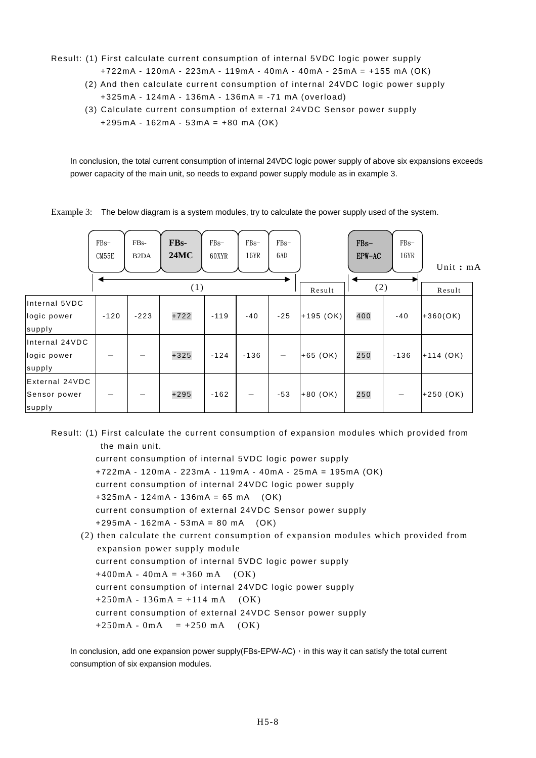Result: (1) First calculate current consumption of internal 5VDC logic power supply +722mA - 120mA - 223mA - 119mA - 40mA - 40mA - 25mA = +155 mA (OK)

- (2) And then calculate current consumption of internal 24VDC logic power supply +325mA - 124mA - 136mA - 136mA = -71 mA (overload)
- (3) Calculate current consumption of external 24VDC Sensor power supply +295mA - 162mA - 53mA = +80 mA (OK)

In conclusion, the total current consumption of internal 24VDC logic power supply of above six expansions exceeds power capacity of the main unit, so needs to expand power supply module as in example 3.

Example 3: The below diagram is a system modules, try to calculate the power supply used of the system.

|                                          | $FBs-$<br>CM55E | FB <sub>s</sub> -<br>B <sub>2</sub> D <sub>A</sub> | FB <sub>s</sub> -<br>24MC | $FBs-$<br>60XYR | $FBs-$<br>16YR | $FBs-$<br>6AD                   |               | $FBs-$<br>$EPW-AC$ | $FBs-$<br>16YR | Unit: mA    |  |
|------------------------------------------|-----------------|----------------------------------------------------|---------------------------|-----------------|----------------|---------------------------------|---------------|--------------------|----------------|-------------|--|
|                                          |                 |                                                    | (1)                       |                 |                |                                 | (2)<br>Result |                    |                | Result      |  |
| Internal 5VDC<br>logic power<br>supply   | $-120$          | $-223$                                             | $+722$                    | $-119$          | $-40$          | $-25$                           | $+195$ (OK)   | 400                | $-40$          | $+360(OK)$  |  |
| Internal 24VDC<br>logic power<br>supply  |                 |                                                    | $+325$                    | $-124$          | $-136$         | $\hspace{0.1mm}-\hspace{0.1mm}$ | $+65$ (OK)    | 250                | $-136$         | $+114$ (OK) |  |
| External 24VDC<br>Sensor power<br>supply |                 |                                                    | $+295$                    | $-162$          |                | $-53$                           | $+80$ (OK)    | 250                |                | $+250(OK)$  |  |

Result: (1) First calculate the current consumption of expansion modules which provided from the main unit.

current consumption of internal 5VDC logic power supply +722mA - 120mA - 223mA - 119mA - 40mA - 25mA = 195mA (OK) current consumption of internal 24VDC logic power supply +325mA - 124mA - 136mA = 65 mA (OK) current consumption of external 24VDC Sensor power supply +295mA - 162mA - 53mA = 80 mA (OK) (2) then calculate the current consumption of expansion modules which provided from

expansion power supply module current consumption of internal 5VDC logic power supply  $+400mA - 40mA = +360 mA$  (OK) current consumption of internal 24VDC logic power supply  $+250mA - 136mA = +114 mA$  (OK) current consumption of external 24VDC Sensor power supply  $+250mA - 0mA = +250 mA$  (OK)

In conclusion, add one expansion power supply(FBs-EPW-AC)  $\cdot$  in this way it can satisfy the total current consumption of six expansion modules.